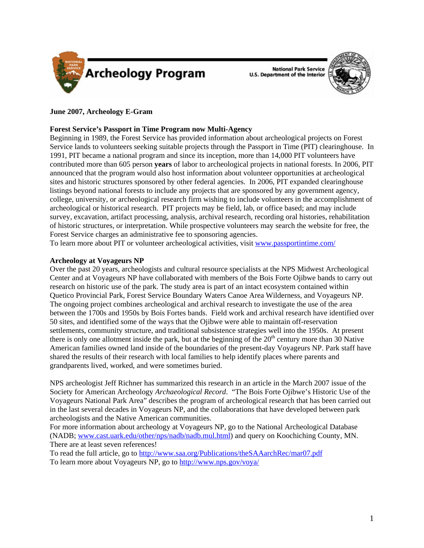

**National Park Service U.S. Department of the Interior** 



# **June 2007, Archeology E-Gram**

## **Forest Service's Passport in Time Program now Multi-Agency**

Beginning in 1989, the Forest Service has provided information about archeological projects on Forest Service lands to volunteers seeking suitable projects through the Passport in Time (PIT) clearinghouse. In 1991, PIT became a national program and since its inception, more than 14,000 PIT volunteers have contributed more than 605 person **years** of labor to archeological projects in national forests. In 2006, PIT announced that the program would also host information about volunteer opportunities at archeological sites and historic structures sponsored by other federal agencies. In 2006, PIT expanded clearinghouse listings beyond national forests to include any projects that are sponsored by any government agency, college, university, or archeological research firm wishing to include volunteers in the accomplishment of archeological or historical research. PIT projects may be field, lab, or office based; and may include survey, excavation, artifact processing, analysis, archival research, recording oral histories, rehabilitation of historic structures, or interpretation. While prospective volunteers may search the website for free, the Forest Service charges an administrative fee to sponsoring agencies.

To learn more about PIT or volunteer archeological activities, visit [www.passportintime.com/](http://www.passportintime.com/)

## **Archeology at Voyageurs NP**

Over the past 20 years, archeologists and cultural resource specialists at the NPS Midwest Archeological Center and at Voyageurs NP have collaborated with members of the Bois Forte Ojibwe bands to carry out research on historic use of the park. The study area is part of an intact ecosystem contained within Quetico Provincial Park, Forest Service Boundary Waters Canoe Area Wilderness, and Voyageurs NP. The ongoing project combines archeological and archival research to investigate the use of the area between the 1700s and 1950s by Bois Fortes bands. Field work and archival research have identified over 50 sites, and identified some of the ways that the Ojibwe were able to maintain off-reservation settlements, community structure, and traditional subsistence strategies well into the 1950s. At present there is only one allotment inside the park, but at the beginning of the  $20<sup>th</sup>$  century more than  $30$  Native American families owned land inside of the boundaries of the present-day Voyageurs NP. Park staff have shared the results of their research with local families to help identify places where parents and grandparents lived, worked, and were sometimes buried.

NPS archeologist Jeff Richner has summarized this research in an article in the March 2007 issue of the Society for American Archeology *Archaeological Record*. "The Bois Forte Ojibwe's Historic Use of the Voyageurs National Park Area" describes the program of archeological research that has been carried out in the last several decades in Voyageurs NP, and the collaborations that have developed between park archeologists and the Native American communities.

For more information about archeology at Voyageurs NP, go to the National Archeological Database (NADB; [www.cast.uark.edu/other/nps/nadb/nadb.mul.html\)](http://www.cast.uark.edu/other/nps/nadb/nadb.mul.html) and query on Koochiching County, MN. There are at least seven references!

To read the full article, go to <http://www.saa.org/Publications/theSAAarchRec/mar07.pdf> To learn more about Voyageurs NP, go to<http://www.nps.gov/voya/>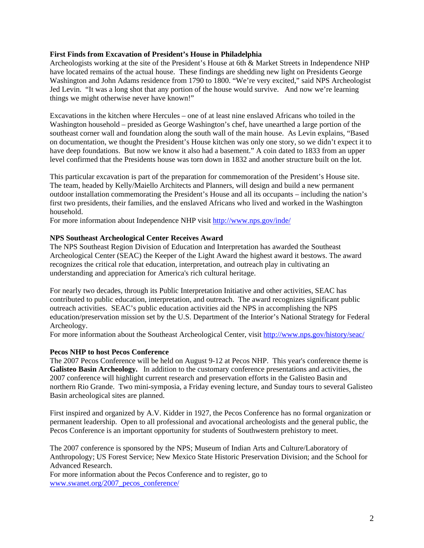## **First Finds from Excavation of President's House in Philadelphia**

Archeologists working at the site of the President's House at 6th & Market Streets in Independence NHP have located remains of the actual house. These findings are shedding new light on Presidents George Washington and John Adams residence from 1790 to 1800. "We're very excited," said NPS Archeologist Jed Levin. "It was a long shot that any portion of the house would survive. And now we're learning things we might otherwise never have known!"

Excavations in the kitchen where Hercules – one of at least nine enslaved Africans who toiled in the Washington household – presided as George Washington's chef, have unearthed a large portion of the southeast corner wall and foundation along the south wall of the main house. As Levin explains, "Based on documentation, we thought the President's House kitchen was only one story, so we didn't expect it to have deep foundations. But now we know it also had a basement." A coin dated to 1833 from an upper level confirmed that the Presidents house was torn down in 1832 and another structure built on the lot.

This particular excavation is part of the preparation for commemoration of the President's House site. The team, headed by Kelly/Maiello Architects and Planners, will design and build a new permanent outdoor installation commemorating the President's House and all its occupants – including the nation's first two presidents, their families, and the enslaved Africans who lived and worked in the Washington household.

For more information about Independence NHP visit<http://www.nps.gov/inde/>

#### **NPS Southeast Archeological Center Receives Award**

The NPS Southeast Region Division of Education and Interpretation has awarded the Southeast Archeological Center (SEAC) the Keeper of the Light Award the highest award it bestows. The award recognizes the critical role that education, interpretation, and outreach play in cultivating an understanding and appreciation for America's rich cultural heritage.

For nearly two decades, through its Public Interpretation Initiative and other activities, SEAC has contributed to public education, interpretation, and outreach. The award recognizes significant public outreach activities. SEAC's public education activities aid the NPS in accomplishing the NPS education/preservation mission set by the U.S. Department of the Interior's National Strategy for Federal Archeology.

For more information about the Southeast Archeological Center, visit <http://www.nps.gov/history/seac/>

#### **Pecos NHP to host Pecos Conference**

The 2007 Pecos Conference will be held on August 9-12 at Pecos NHP. This year's conference theme is **Galisteo Basin Archeology.** In addition to the customary conference presentations and activities, the 2007 conference will highlight current research and preservation efforts in the Galisteo Basin and northern Rio Grande. Two mini-symposia, a Friday evening lecture, and Sunday tours to several Galisteo Basin archeological sites are planned.

First inspired and organized by A.V. Kidder in 1927, the Pecos Conference has no formal organization or permanent leadership. Open to all professional and avocational archeologists and the general public, the Pecos Conference is an important opportunity for students of Southwestern prehistory to meet.

The 2007 conference is sponsored by the NPS; Museum of Indian Arts and Culture/Laboratory of Anthropology; US Forest Service; New Mexico State Historic Preservation Division; and the School for Advanced Research.

For more information about the Pecos Conference and to register, go to [www.swanet.org/2007\\_pecos\\_conference/](http://www.swanet.org/2007_pecos_conference/)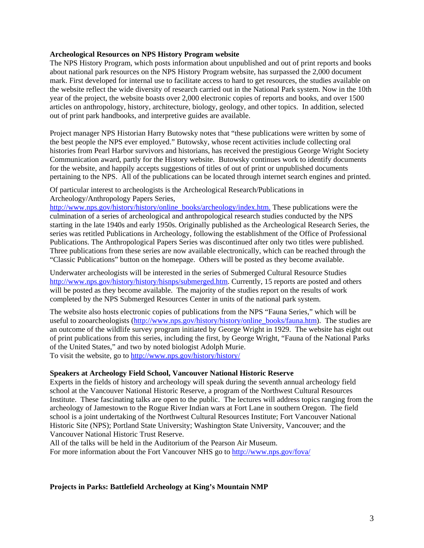#### **Archeological Resources on NPS History Program website**

The NPS History Program, which posts information about unpublished and out of print reports and books about national park resources on the NPS History Program website, has surpassed the 2,000 document mark. First developed for internal use to facilitate access to hard to get resources, the studies available on the website reflect the wide diversity of research carried out in the National Park system. Now in the 10th year of the project, the website boasts over 2,000 electronic copies of reports and books, and over 1500 articles on anthropology, history, architecture, biology, geology, and other topics. In addition, selected out of print park handbooks, and interpretive guides are available.

Project manager NPS Historian Harry Butowsky notes that "these publications were written by some of the best people the NPS ever employed." Butowsky, whose recent activities include collecting oral histories from Pearl Harbor survivors and historians, has received the prestigious George Wright Society Communication award, partly for the History website. Butowsky continues work to identify documents for the website, and happily accepts suggestions of titles of out of print or unpublished documents pertaining to the NPS. All of the publications can be located through internet search engines and printed.

Of particular interest to archeologists is the Archeological Research/Publications in Archeology/Anthropology Papers Series,

[http://www.nps.gov/history/history/online\\_books/archeology/index.htm](http://www.nps.gov/history/history/online_books/archeology/index.htm). These publications were the culmination of a series of archeological and anthropological research studies conducted by the NPS starting in the late 1940s and early 1950s. Originally published as the Archeological Research Series, the series was retitled Publications in Archeology, following the establishment of the Office of Professional Publications. The Anthropological Papers Series was discontinued after only two titles were published. Three publications from these series are now available electronically, which can be reached through the "Classic Publications" button on the homepage. Others will be posted as they become available.

Underwater archeologists will be interested in the series of Submerged Cultural Resource Studies [http://www.nps.gov/history/history/hisnps/submerged.htm.](http://www.nps.gov/history/history/hisnps/submerged.htm) Currently, 15 reports are posted and others will be posted as they become available. The majority of the studies report on the results of work completed by the NPS Submerged Resources Center in units of the national park system.

The website also hosts electronic copies of publications from the NPS "Fauna Series," which will be useful to zooarcheologists [\(http://www.nps.gov/history/history/online\\_books/fauna.htm\)](http://www.nps.gov/history/history/online_books/fauna.htm). The studies are an outcome of the wildlife survey program initiated by George Wright in 1929. The website has eight out of print publications from this series, including the first, by George Wright, "Fauna of the National Parks of the United States," and two by noted biologist Adolph Murie. To visit the website, go to<http://www.nps.gov/history/history/>

## **Speakers at Archeology Field School, Vancouver National Historic Reserve**

Experts in the fields of history and archeology will speak during the seventh annual archeology field school at the Vancouver National Historic Reserve, a program of the Northwest Cultural Resources Institute. These fascinating talks are open to the public. The lectures will address topics ranging from the archeology of Jamestown to the Rogue River Indian wars at Fort Lane in southern Oregon. The field school is a joint undertaking of the Northwest Cultural Resources Institute; Fort Vancouver National Historic Site (NPS); Portland State University; Washington State University, Vancouver; and the Vancouver National Historic Trust Reserve.

All of the talks will be held in the Auditorium of the Pearson Air Museum.

For more information about the Fort Vancouver NHS go to<http://www.nps.gov/fova/>

### **Projects in Parks: Battlefield Archeology at King's Mountain NMP**